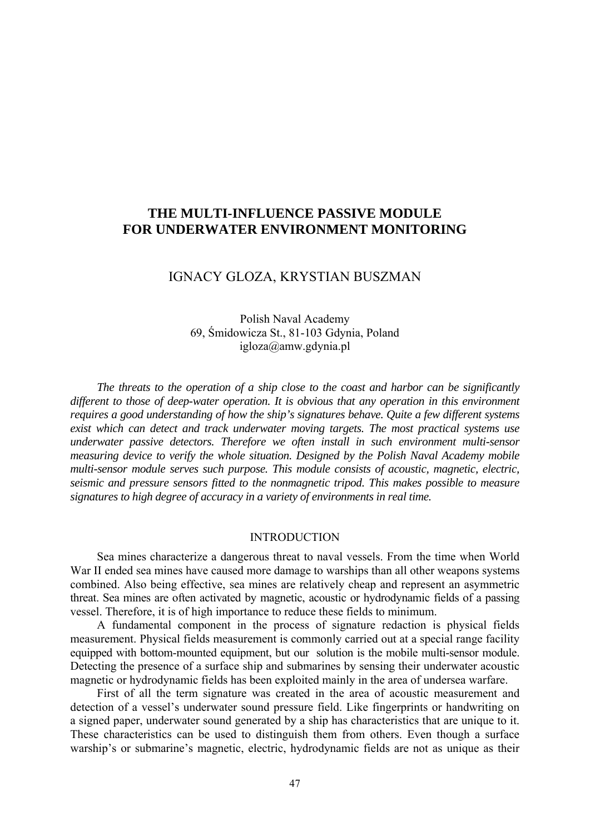# **THE MULTI-INFLUENCE PASSIVE MODULE FOR UNDERWATER ENVIRONMENT MONITORING**

## IGNACY GLOZA, KRYSTIAN BUSZMAN

Polish Naval Academy 69, Śmidowicza St., 81-103 Gdynia, Poland igloza@amw.gdynia.pl

*The threats to the operation of a ship close to the coast and harbor can be significantly different to those of deep-water operation. It is obvious that any operation in this environment requires a good understanding of how the ship's signatures behave. Quite a few different systems exist which can detect and track underwater moving targets. The most practical systems use underwater passive detectors. Therefore we often install in such environment multi-sensor measuring device to verify the whole situation. Designed by the Polish Naval Academy mobile multi-sensor module serves such purpose. This module consists of acoustic, magnetic, electric, seismic and pressure sensors fitted to the nonmagnetic tripod. This makes possible to measure signatures to high degree of accuracy in a variety of environments in real time.*

### INTRODUCTION

Sea mines characterize a dangerous threat to naval vessels. From the time when World War II ended sea mines have caused more damage to warships than all other weapons systems combined. Also being effective, sea mines are relatively cheap and represent an asymmetric threat. Sea mines are often activated by magnetic, acoustic or hydrodynamic fields of a passing vessel. Therefore, it is of high importance to reduce these fields to minimum.

A fundamental component in the process of signature redaction is physical fields measurement. Physical fields measurement is commonly carried out at a special range facility equipped with bottom-mounted equipment, but our solution is the mobile multi-sensor module. Detecting the presence of a surface ship and submarines by sensing their underwater acoustic magnetic or hydrodynamic fields has been exploited mainly in the area of undersea warfare.

First of all the term signature was created in the area of acoustic measurement and detection of a vessel's underwater sound pressure field. Like fingerprints or handwriting on a signed paper, underwater sound generated by a ship has characteristics that are unique to it. These characteristics can be used to distinguish them from others. Even though a surface warship's or submarine's magnetic, electric, hydrodynamic fields are not as unique as their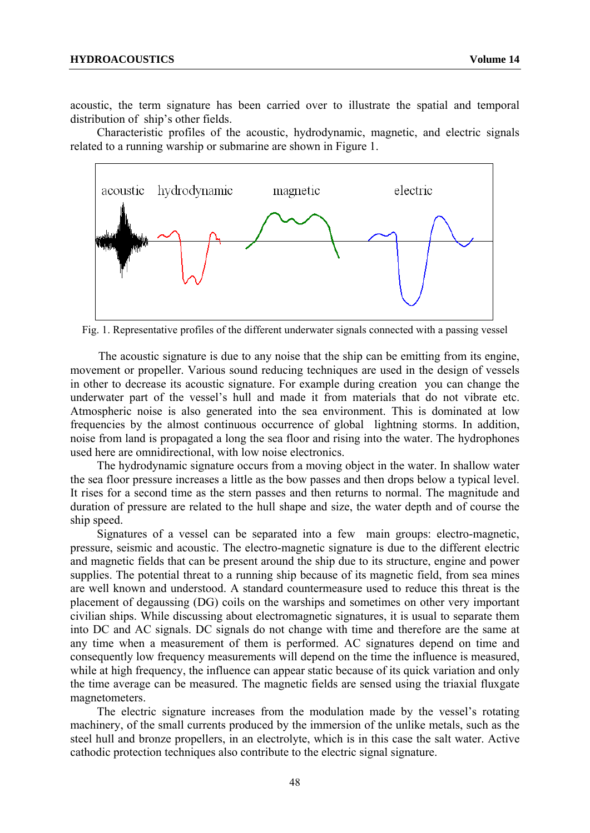acoustic, the term signature has been carried over to illustrate the spatial and temporal distribution of ship's other fields.

Characteristic profiles of the acoustic, hydrodynamic, magnetic, and electric signals related to a running warship or submarine are shown in Figure 1.



Fig. 1. Representative profiles of the different underwater signals connected with a passing vessel

The acoustic signature is due to any noise that the ship can be emitting from its engine, movement or propeller. Various sound reducing techniques are used in the design of vessels in other to decrease its acoustic signature. For example during creation you can change the underwater part of the vessel's hull and made it from materials that do not vibrate etc. Atmospheric noise is also generated into the sea environment. This is dominated at low frequencies by the almost continuous occurrence of global lightning storms. In addition, noise from land is propagated a long the sea floor and rising into the water. The hydrophones used here are omnidirectional, with low noise electronics.

The hydrodynamic signature occurs from a moving object in the water. In shallow water the sea floor pressure increases a little as the bow passes and then drops below a typical level. It rises for a second time as the stern passes and then returns to normal. The magnitude and duration of pressure are related to the hull shape and size, the water depth and of course the ship speed.

Signatures of a vessel can be separated into a few main groups: electro-magnetic, pressure, seismic and acoustic. The electro-magnetic signature is due to the different electric and magnetic fields that can be present around the ship due to its structure, engine and power supplies. The potential threat to a running ship because of its magnetic field, from sea mines are well known and understood. A standard countermeasure used to reduce this threat is the placement of degaussing (DG) coils on the warships and sometimes on other very important civilian ships. While discussing about electromagnetic signatures, it is usual to separate them into DC and AC signals. DC signals do not change with time and therefore are the same at any time when a measurement of them is performed. AC signatures depend on time and consequently low frequency measurements will depend on the time the influence is measured, while at high frequency, the influence can appear static because of its quick variation and only the time average can be measured. The magnetic fields are sensed using the triaxial fluxgate magnetometers.

The electric signature increases from the modulation made by the vessel's rotating machinery, of the small currents produced by the immersion of the unlike metals, such as the steel hull and bronze propellers, in an electrolyte, which is in this case the salt water. Active cathodic protection techniques also contribute to the electric signal signature.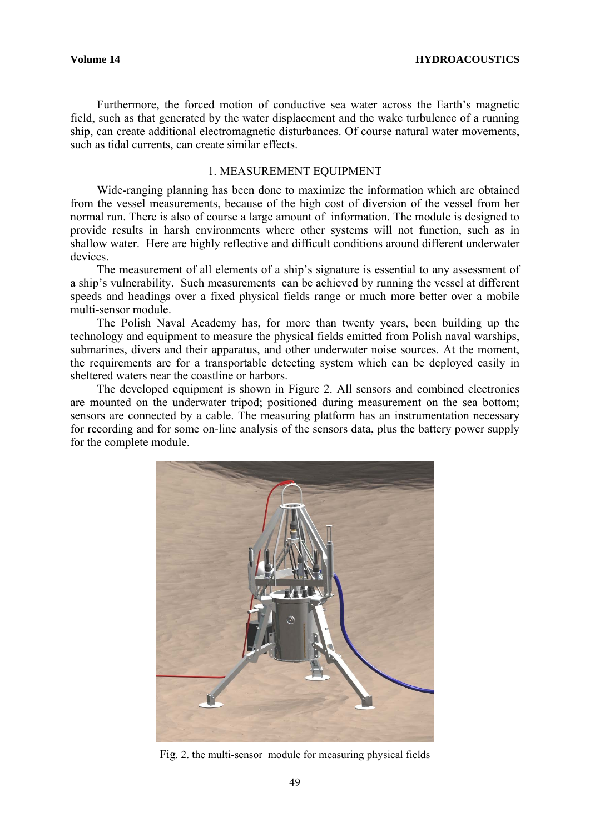Furthermore, the forced motion of conductive sea water across the Earth's magnetic field, such as that generated by the water displacement and the wake turbulence of a running ship, can create additional electromagnetic disturbances. Of course natural water movements, such as tidal currents, can create similar effects.

#### 1. MEASUREMENT EQUIPMENT

Wide-ranging planning has been done to maximize the information which are obtained from the vessel measurements, because of the high cost of diversion of the vessel from her normal run. There is also of course a large amount of information. The module is designed to provide results in harsh environments where other systems will not function, such as in shallow water. Here are highly reflective and difficult conditions around different underwater devices.

The measurement of all elements of a ship's signature is essential to any assessment of a ship's vulnerability. Such measurements can be achieved by running the vessel at different speeds and headings over a fixed physical fields range or much more better over a mobile multi-sensor module.

The Polish Naval Academy has, for more than twenty years, been building up the technology and equipment to measure the physical fields emitted from Polish naval warships, submarines, divers and their apparatus, and other underwater noise sources. At the moment, the requirements are for a transportable detecting system which can be deployed easily in sheltered waters near the coastline or harbors.

The developed equipment is shown in Figure 2. All sensors and combined electronics are mounted on the underwater tripod; positioned during measurement on the sea bottom; sensors are connected by a cable. The measuring platform has an instrumentation necessary for recording and for some on-line analysis of the sensors data, plus the battery power supply for the complete module.



Fig. 2. the multi-sensor module for measuring physical fields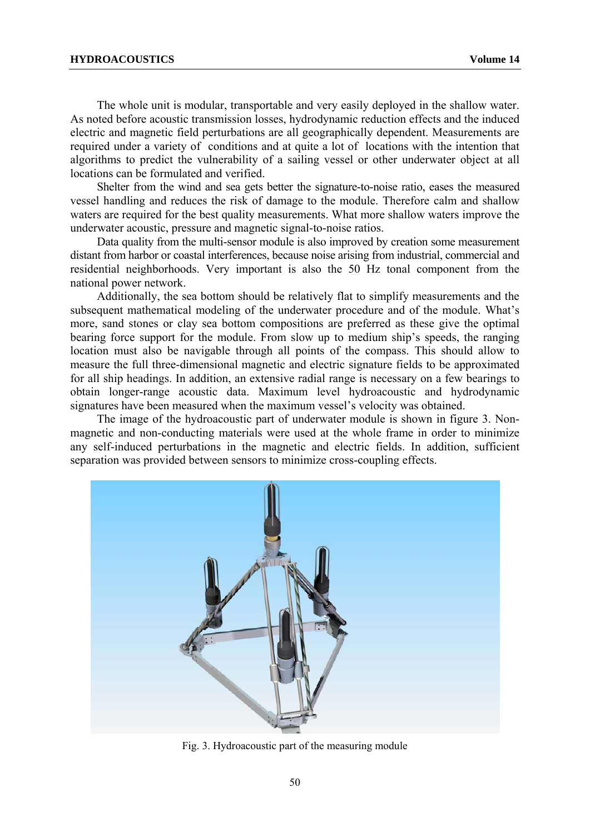The whole unit is modular, transportable and very easily deployed in the shallow water. As noted before acoustic transmission losses, hydrodynamic reduction effects and the induced electric and magnetic field perturbations are all geographically dependent. Measurements are required under a variety of conditions and at quite a lot of locations with the intention that algorithms to predict the vulnerability of a sailing vessel or other underwater object at all locations can be formulated and verified.

Shelter from the wind and sea gets better the signature-to-noise ratio, eases the measured vessel handling and reduces the risk of damage to the module. Therefore calm and shallow waters are required for the best quality measurements. What more shallow waters improve the underwater acoustic, pressure and magnetic signal-to-noise ratios.

Data quality from the multi-sensor module is also improved by creation some measurement distant from harbor or coastal interferences, because noise arising from industrial, commercial and residential neighborhoods. Very important is also the 50 Hz tonal component from the national power network.

Additionally, the sea bottom should be relatively flat to simplify measurements and the subsequent mathematical modeling of the underwater procedure and of the module. What's more, sand stones or clay sea bottom compositions are preferred as these give the optimal bearing force support for the module. From slow up to medium ship's speeds, the ranging location must also be navigable through all points of the compass. This should allow to measure the full three-dimensional magnetic and electric signature fields to be approximated for all ship headings. In addition, an extensive radial range is necessary on a few bearings to obtain longer-range acoustic data. Maximum level hydroacoustic and hydrodynamic signatures have been measured when the maximum vessel's velocity was obtained.

The image of the hydroacoustic part of underwater module is shown in figure 3. Nonmagnetic and non-conducting materials were used at the whole frame in order to minimize any self-induced perturbations in the magnetic and electric fields. In addition, sufficient separation was provided between sensors to minimize cross-coupling effects.



Fig. 3. Hydroacoustic part of the measuring module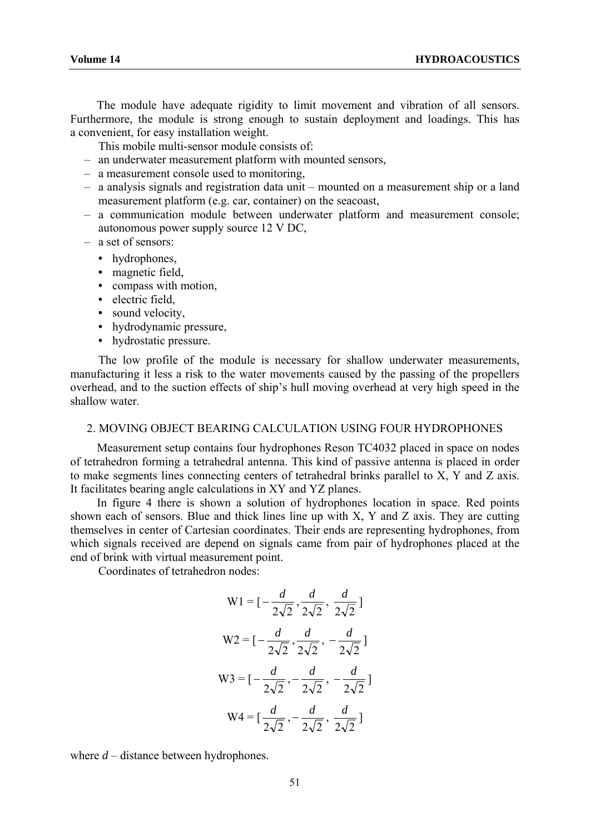The module have adequate rigidity to limit movement and vibration of all sensors. Furthermore, the module is strong enough to sustain deployment and loadings. This has a convenient, for easy installation weight.

This mobile multi-sensor module consists of:

- an underwater measurement platform with mounted sensors,
- a measurement console used to monitoring,
- a analysis signals and registration data unit mounted on a measurement ship or a land measurement platform (e.g. car, container) on the seacoast,
- a communication module between underwater platform and measurement console; autonomous power supply source 12 V DC,
- a set of sensors:
	- hydrophones,
	- magnetic field,
	- compass with motion,
	- electric field.
	- sound velocity,
	- hydrodynamic pressure,
	- hydrostatic pressure.

The low profile of the module is necessary for shallow underwater measurements, manufacturing it less a risk to the water movements caused by the passing of the propellers overhead, and to the suction effects of ship's hull moving overhead at very high speed in the shallow water.

#### 2. MOVING OBJECT BEARING CALCULATION USING FOUR HYDROPHONES

Measurement setup contains four hydrophones Reson TC4032 placed in space on nodes of tetrahedron forming a tetrahedral antenna. This kind of passive antenna is placed in order to make segments lines connecting centers of tetrahedral brinks parallel to X, Y and Z axis. It facilitates bearing angle calculations in XY and YZ planes.

In figure 4 there is shown a solution of hydrophones location in space. Red points shown each of sensors. Blue and thick lines line up with X, Y and Z axis. They are cutting themselves in center of Cartesian coordinates. Their ends are representing hydrophones, from which signals received are depend on signals came from pair of hydrophones placed at the end of brink with virtual measurement point.

Coordinates of tetrahedron nodes:

W1 = 
$$
[-\frac{d}{2\sqrt{2}}, \frac{d}{2\sqrt{2}}, \frac{d}{2\sqrt{2}}]
$$
  
\nW2 =  $[-\frac{d}{2\sqrt{2}}, \frac{d}{2\sqrt{2}}, -\frac{d}{2\sqrt{2}}]$   
\nW3 =  $[-\frac{d}{2\sqrt{2}}, -\frac{d}{2\sqrt{2}}, -\frac{d}{2\sqrt{2}}]$   
\nW4 =  $[\frac{d}{2\sqrt{2}}, -\frac{d}{2\sqrt{2}}, \frac{d}{2\sqrt{2}}]$ 

where *d* – distance between hydrophones.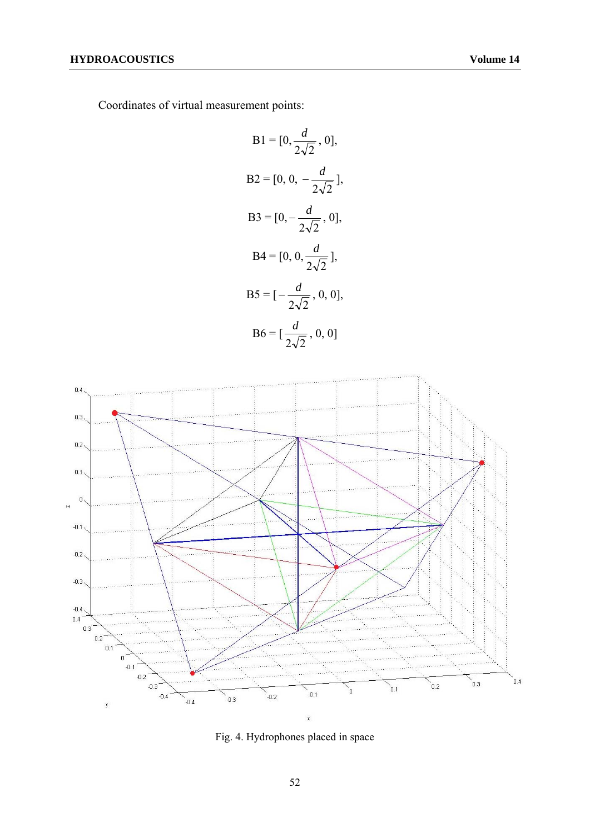Coordinates of virtual measurement points:

B1 = [0, 
$$
\frac{d}{2\sqrt{2}}
$$
, 0],  
\nB2 = [0, 0,  $-\frac{d}{2\sqrt{2}}$ ],  
\nB3 = [0,  $-\frac{d}{2\sqrt{2}}$ , 0],  
\nB4 = [0, 0,  $\frac{d}{2\sqrt{2}}$ ],  
\nB5 = [- $\frac{d}{2\sqrt{2}}$ , 0, 0],  
\nB6 = [ $\frac{d}{2\sqrt{2}}$ , 0, 0]



Fig. 4. Hydrophones placed in space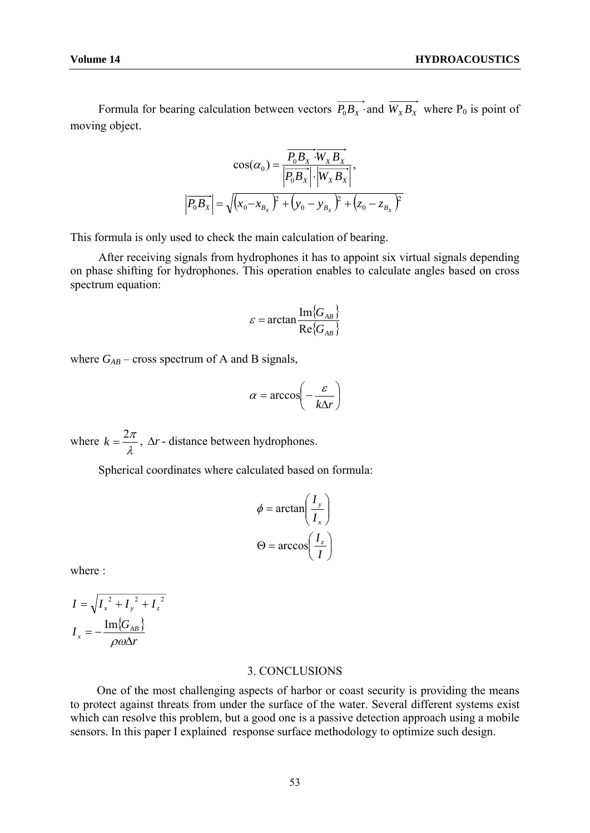Formula for bearing calculation between vectors  $\overrightarrow{P_0B_x}$  and  $\overrightarrow{W_xB_x}$  where P<sub>0</sub> is point of moving object.

$$
\cos(\alpha_0) = \frac{\overline{P_0 B_x} \cdot \overline{W_x B_x}}{|\overline{P_0 B_x}| \cdot |\overline{W_x B_x}|},
$$

$$
|\overline{P_0 B_x}| = \sqrt{(x_0 - x_{B_x})^2 + (y_0 - y_{B_x})^2 + (z_0 - z_{B_x})^2}
$$

This formula is only used to check the main calculation of bearing.

After receiving signals from hydrophones it has to appoint six virtual signals depending on phase shifting for hydrophones. This operation enables to calculate angles based on cross spectrum equation:

$$
\varepsilon = \arctan \frac{\operatorname{Im} \{ G_{AB} \}}{\operatorname{Re} \{ G_{AB} \}}
$$

where  $G_{AB}$  – cross spectrum of A and B signals,

$$
\alpha = \arccos\left(-\frac{\varepsilon}{k\Delta r}\right)
$$

where  $k = \frac{2\pi}{\lambda}$ ,  $\Delta r$ - distance between hydrophones.

Spherical coordinates where calculated based on formula:

$$
\phi = \arctan\left(\frac{I_y}{I_x}\right)
$$

$$
\Theta = \arccos\left(\frac{I_z}{I}\right)
$$

where :

$$
I = \sqrt{I_x^2 + I_y^2 + I_z^2}
$$

$$
I_x = -\frac{\text{Im}{G_{AB}}}{\rho \omega \Delta r}
$$

#### 3. CONCLUSIONS

One of the most challenging aspects of harbor or coast security is providing the means to protect against threats from under the surface of the water. Several different systems exist which can resolve this problem, but a good one is a passive detection approach using a mobile sensors. In this paper I explained response surface methodology to optimize such design.